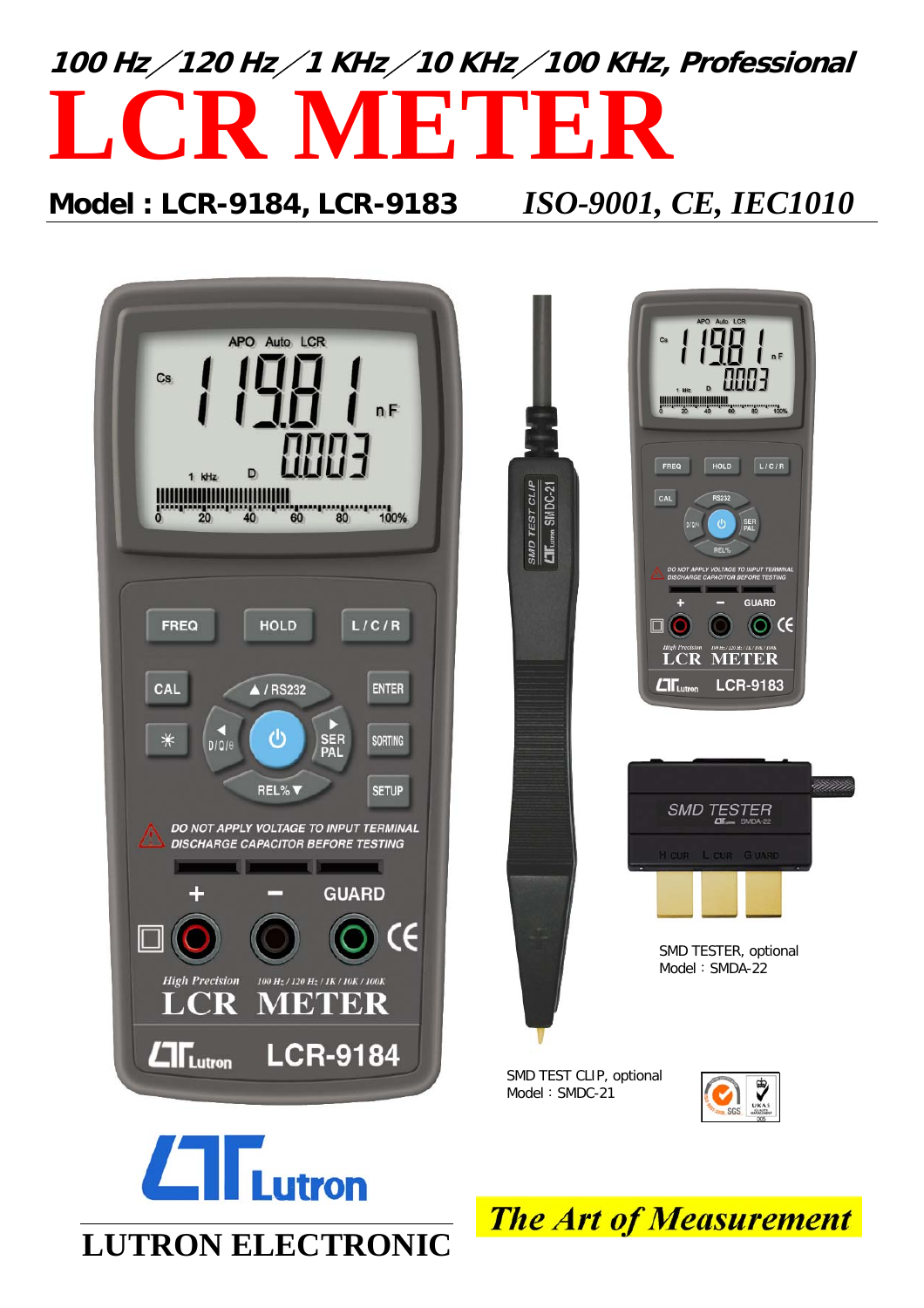

# **Model : LCR-9184, LCR-9183** *ISO-9001, CE, IEC1010*







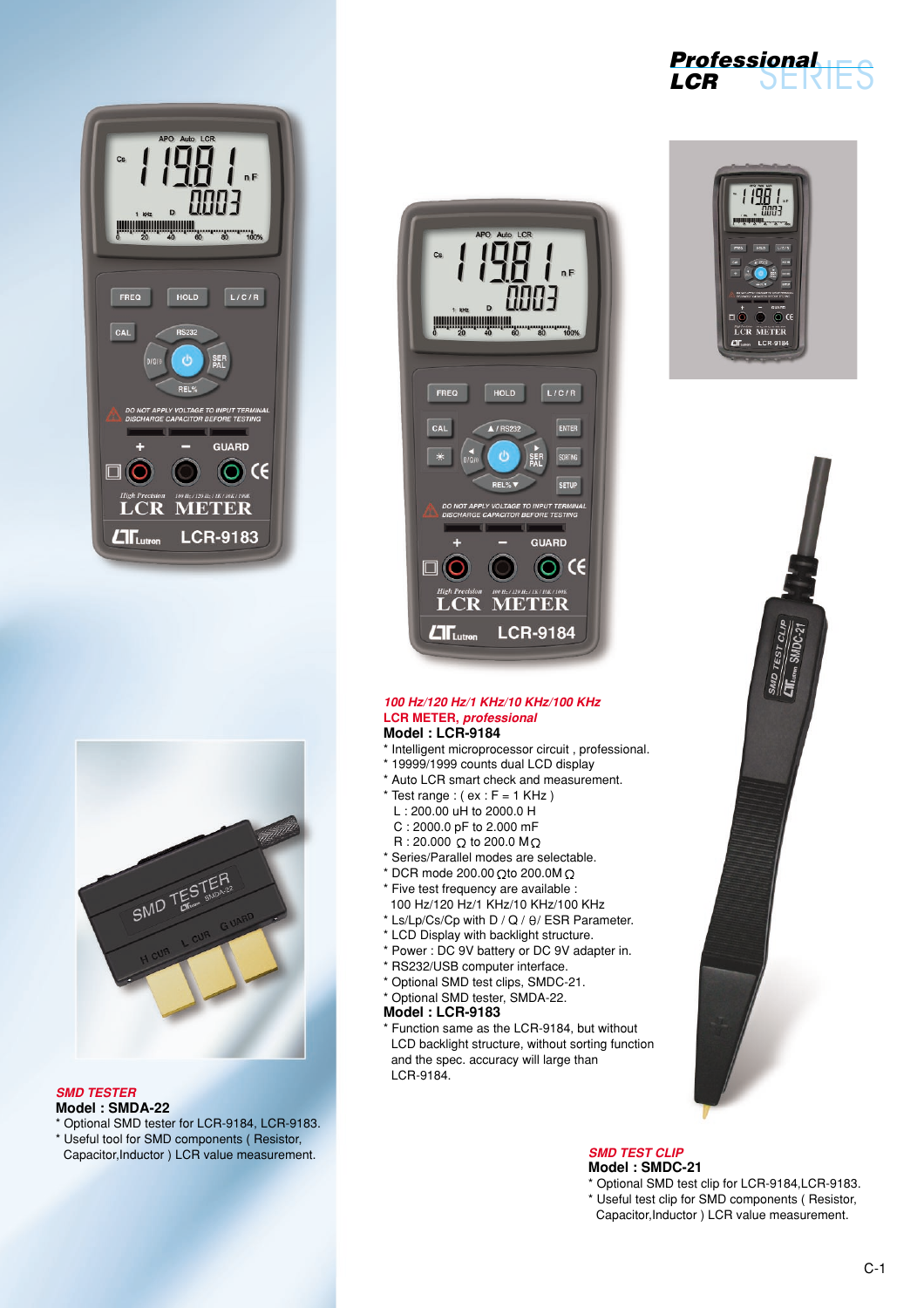



# *SMD TESTER*

# **Model : SMDA-22**

\* Optional SMD tester for LCR-9184, LCR-9183. \* Useful tool for SMD components ( Resistor, Capacitor,Inductor ) LCR value measurement.



# SERIES **Professional LCR**





### *100 Hz/120 Hz/1 KHz/10 KHz/100 KHz* **LCR METER,** *professional* **Model : LCR-9184**

- \* Intelligent microprocessor circuit , professional. \* 19999/1999 counts dual LCD display
- \* Auto LCR smart check and measurement.
- \* Test range :  $(ex : F = 1$  KHz  $)$
- L : 200.00 uH to 2000.0 H
- C : 2000.0 pF to 2.000 mF
- $R: 20.000$  Q to 200.0 MQ
- \* Series/Parallel modes are selectable.
- $*$  DCR mode 200.00 Q to 200.0M Q
- \* Five test frequency are available :
- 100 Hz/120 Hz/1 KHz/10 KHz/100 KHz
- $*$  Ls/Lp/Cs/Cp with D / Q /  $\theta$ / ESR Parameter.
- \* LCD Display with backlight structure.
- \* Power : DC 9V battery or DC 9V adapter in.
- \* RS232/USB computer interface.
- \* Optional SMD test clips, SMDC-21.
- \* Optional SMD tester, SMDA-22.

# **Model : LCR-9183**

\* Function same as the LCR-9184, but without LCD backlight structure, without sorting function and the spec. accuracy will large than LCR-9184.

## *SMD TEST CLIP* **Model : SMDC-21**

- \* Optional SMD test clip for LCR-9184,LCR-9183. \* Useful test clip for SMD components ( Resistor,
- Capacitor,Inductor ) LCR value measurement.